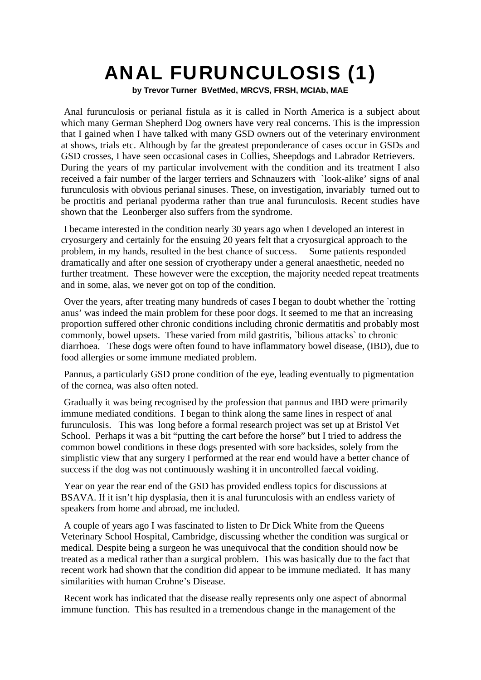## ANAL FURUNCULOSIS (1)

**by Trevor Turner BVetMed, MRCVS, FRSH, MCIAb, MAE**

Anal furunculosis or perianal fistula as it is called in North America is a subject about which many German Shepherd Dog owners have very real concerns. This is the impression that I gained when I have talked with many GSD owners out of the veterinary environment at shows, trials etc. Although by far the greatest preponderance of cases occur in GSDs and GSD crosses, I have seen occasional cases in Collies, Sheepdogs and Labrador Retrievers. During the years of my particular involvement with the condition and its treatment I also received a fair number of the larger terriers and Schnauzers with `look-alike' signs of anal furunculosis with obvious perianal sinuses. These, on investigation, invariably turned out to be proctitis and perianal pyoderma rather than true anal furunculosis. Recent studies have shown that the Leonberger also suffers from the syndrome.

I became interested in the condition nearly 30 years ago when I developed an interest in cryosurgery and certainly for the ensuing 20 years felt that a cryosurgical approach to the problem, in my hands, resulted in the best chance of success. Some patients responded dramatically and after one session of cryotherapy under a general anaesthetic, needed no further treatment. These however were the exception, the majority needed repeat treatments and in some, alas, we never got on top of the condition.

Over the years, after treating many hundreds of cases I began to doubt whether the `rotting anus' was indeed the main problem for these poor dogs. It seemed to me that an increasing proportion suffered other chronic conditions including chronic dermatitis and probably most commonly, bowel upsets. These varied from mild gastritis, `bilious attacks` to chronic diarrhoea. These dogs were often found to have inflammatory bowel disease, (IBD), due to food allergies or some immune mediated problem.

Pannus, a particularly GSD prone condition of the eye, leading eventually to pigmentation of the cornea, was also often noted.

Gradually it was being recognised by the profession that pannus and IBD were primarily immune mediated conditions. I began to think along the same lines in respect of anal furunculosis. This was long before a formal research project was set up at Bristol Vet School. Perhaps it was a bit "putting the cart before the horse" but I tried to address the common bowel conditions in these dogs presented with sore backsides, solely from the simplistic view that any surgery I performed at the rear end would have a better chance of success if the dog was not continuously washing it in uncontrolled faecal voiding.

Year on year the rear end of the GSD has provided endless topics for discussions at BSAVA. If it isn't hip dysplasia, then it is anal furunculosis with an endless variety of speakers from home and abroad, me included.

A couple of years ago I was fascinated to listen to Dr Dick White from the Queens Veterinary School Hospital, Cambridge, discussing whether the condition was surgical or medical. Despite being a surgeon he was unequivocal that the condition should now be treated as a medical rather than a surgical problem. This was basically due to the fact that recent work had shown that the condition did appear to be immune mediated. It has many similarities with human Crohne's Disease.

Recent work has indicated that the disease really represents only one aspect of abnormal immune function. This has resulted in a tremendous change in the management of the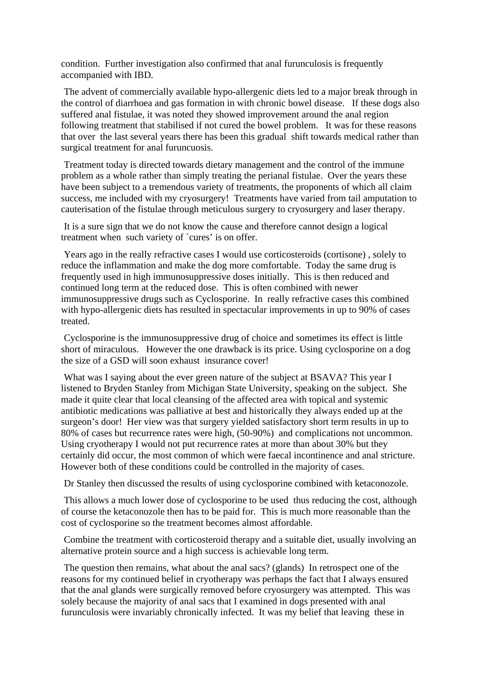condition. Further investigation also confirmed that anal furunculosis is frequently accompanied with IBD.

The advent of commercially available hypo-allergenic diets led to a major break through in the control of diarrhoea and gas formation in with chronic bowel disease. If these dogs also suffered anal fistulae, it was noted they showed improvement around the anal region following treatment that stabilised if not cured the bowel problem. It was for these reasons that over the last several years there has been this gradual shift towards medical rather than surgical treatment for anal furuncuosis.

Treatment today is directed towards dietary management and the control of the immune problem as a whole rather than simply treating the perianal fistulae. Over the years these have been subject to a tremendous variety of treatments, the proponents of which all claim success, me included with my cryosurgery! Treatments have varied from tail amputation to cauterisation of the fistulae through meticulous surgery to cryosurgery and laser therapy.

It is a sure sign that we do not know the cause and therefore cannot design a logical treatment when such variety of `cures' is on offer.

Years ago in the really refractive cases I would use corticosteroids (cortisone) , solely to reduce the inflammation and make the dog more comfortable. Today the same drug is frequently used in high immunosuppressive doses initially. This is then reduced and continued long term at the reduced dose. This is often combined with newer immunosuppressive drugs such as Cyclosporine. In really refractive cases this combined with hypo-allergenic diets has resulted in spectacular improvements in up to 90% of cases treated.

Cyclosporine is the immunosuppressive drug of choice and sometimes its effect is little short of miraculous. However the one drawback is its price. Using cyclosporine on a dog the size of a GSD will soon exhaust insurance cover!

What was I saying about the ever green nature of the subject at BSAVA? This year I listened to Bryden Stanley from Michigan State University, speaking on the subject. She made it quite clear that local cleansing of the affected area with topical and systemic antibiotic medications was palliative at best and historically they always ended up at the surgeon's door! Her view was that surgery yielded satisfactory short term results in up to 80% of cases but recurrence rates were high, (50-90%) and complications not uncommon. Using cryotherapy I would not put recurrence rates at more than about 30% but they certainly did occur, the most common of which were faecal incontinence and anal stricture. However both of these conditions could be controlled in the majority of cases.

Dr Stanley then discussed the results of using cyclosporine combined with ketaconozole.

This allows a much lower dose of cyclosporine to be used thus reducing the cost, although of course the ketaconozole then has to be paid for. This is much more reasonable than the cost of cyclosporine so the treatment becomes almost affordable.

Combine the treatment with corticosteroid therapy and a suitable diet, usually involving an alternative protein source and a high success is achievable long term.

The question then remains, what about the anal sacs? (glands) In retrospect one of the reasons for my continued belief in cryotherapy was perhaps the fact that I always ensured that the anal glands were surgically removed before cryosurgery was attempted. This was solely because the majority of anal sacs that I examined in dogs presented with anal furunculosis were invariably chronically infected. It was my belief that leaving these in